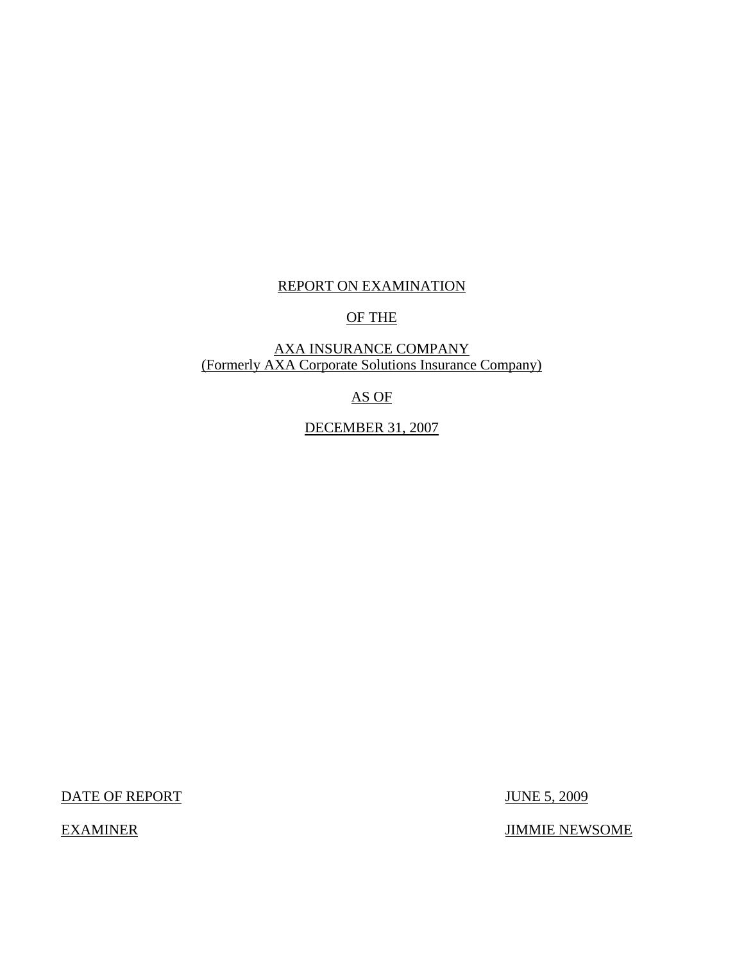# REPORT ON EXAMINATION

# OF THE

## AXA INSURANCE COMPANY (Formerly AXA Corporate Solutions Insurance Company)

# AS OF

# DECEMBER 31, 2007

DATE OF REPORT JUNE 5, 2009

EXAMINER JIMMIE NEWSOME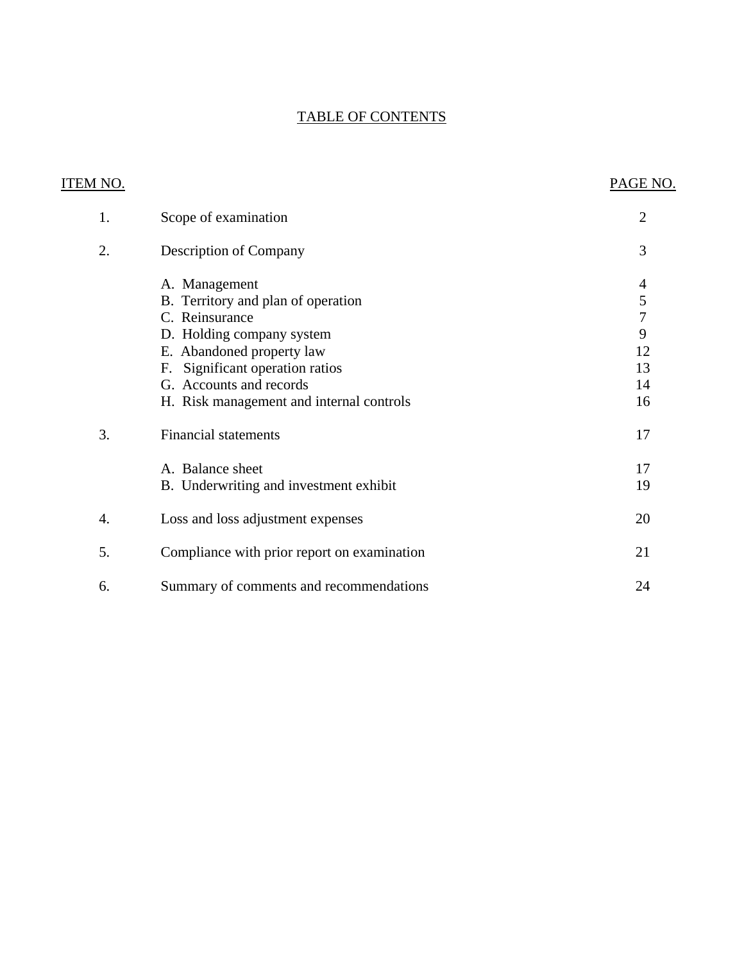# TABLE OF CONTENTS

| <b>ITEM NO.</b> |                                             | PAGE NO.                 |
|-----------------|---------------------------------------------|--------------------------|
| 1.              | Scope of examination                        | $\overline{2}$           |
| 2.              | <b>Description of Company</b>               | 3                        |
|                 | A. Management                               | $\overline{\mathcal{A}}$ |
|                 | B. Territory and plan of operation          | $rac{5}{7}$              |
|                 | C. Reinsurance                              |                          |
|                 | D. Holding company system                   | 9                        |
|                 | E. Abandoned property law                   | 12                       |
|                 | Significant operation ratios<br>F.          | 13                       |
|                 | G. Accounts and records                     | 14                       |
|                 | H. Risk management and internal controls    | 16                       |
| 3.              | <b>Financial statements</b>                 | 17                       |
|                 | A. Balance sheet                            | 17                       |
|                 | B. Underwriting and investment exhibit      | 19                       |
| 4.              | Loss and loss adjustment expenses           | 20                       |
| 5.              | Compliance with prior report on examination | 21                       |
| 6.              | Summary of comments and recommendations     | 24                       |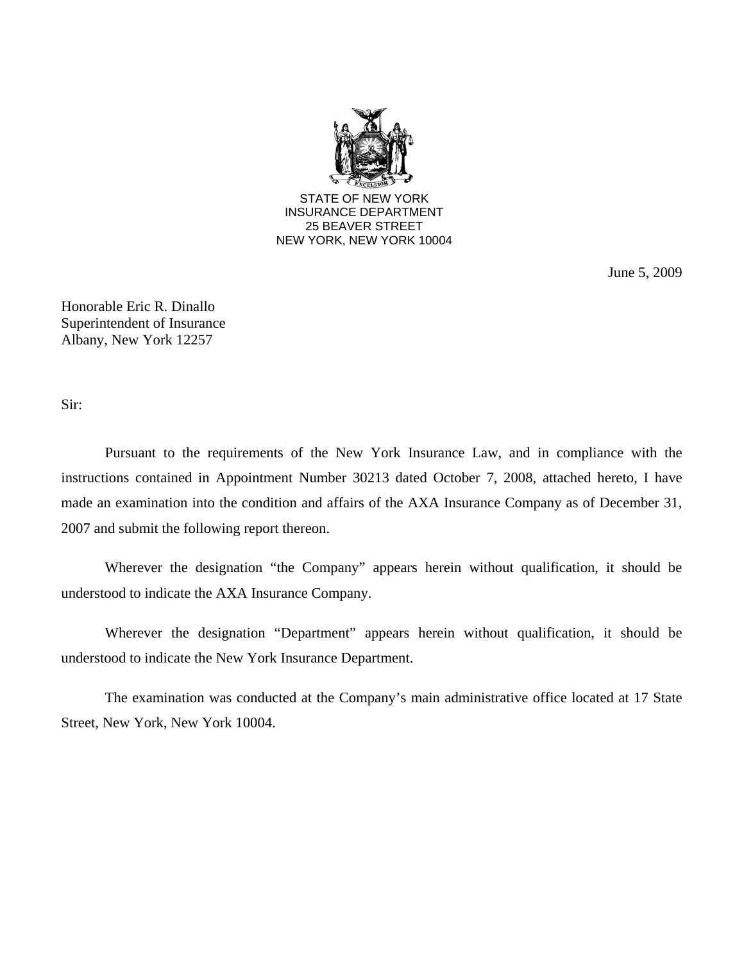

June 5, 2009

Honorable Eric R. Dinallo Superintendent of Insurance Albany, New York 12257

Sir:

Pursuant to the requirements of the New York Insurance Law, and in compliance with the instructions contained in Appointment Number 30213 dated October 7, 2008, attached hereto, I have made an examination into the condition and affairs of the AXA Insurance Company as of December 31, 2007 and submit the following report thereon.

Wherever the designation "the Company" appears herein without qualification, it should be understood to indicate the AXA Insurance Company.

Wherever the designation "Department" appears herein without qualification, it should be understood to indicate the New York Insurance Department.

The examination was conducted at the Company's main administrative office located at 17 State Street, New York, New York 10004.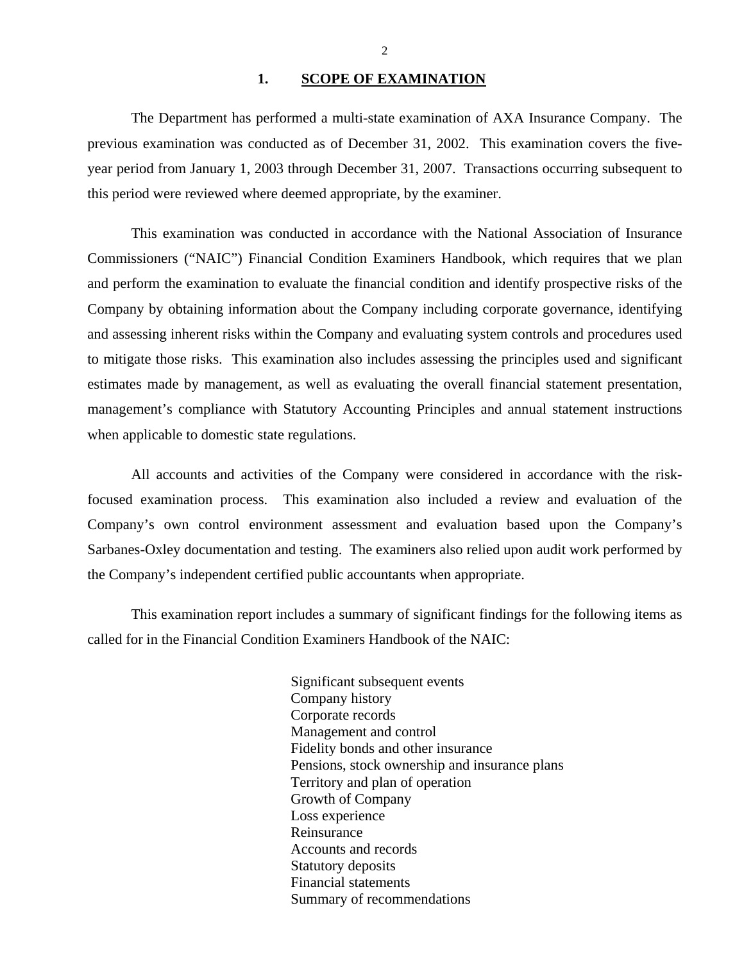#### 1. **SCOPE OF EXAMINATION**

<span id="page-3-0"></span>The Department has performed a multi-state examination of AXA Insurance Company. The previous examination was conducted as of December 31, 2002. This examination covers the fiveyear period from January 1, 2003 through December 31, 2007. Transactions occurring subsequent to this period were reviewed where deemed appropriate, by the examiner.

This examination was conducted in accordance with the National Association of Insurance Commissioners ("NAIC") Financial Condition Examiners Handbook, which requires that we plan and perform the examination to evaluate the financial condition and identify prospective risks of the Company by obtaining information about the Company including corporate governance, identifying and assessing inherent risks within the Company and evaluating system controls and procedures used to mitigate those risks. This examination also includes assessing the principles used and significant estimates made by management, as well as evaluating the overall financial statement presentation, management's compliance with Statutory Accounting Principles and annual statement instructions when applicable to domestic state regulations.

All accounts and activities of the Company were considered in accordance with the riskfocused examination process. This examination also included a review and evaluation of the Company's own control environment assessment and evaluation based upon the Company's Sarbanes-Oxley documentation and testing. The examiners also relied upon audit work performed by the Company's independent certified public accountants when appropriate.

This examination report includes a summary of significant findings for the following items as called for in the Financial Condition Examiners Handbook of the NAIC:

> Significant subsequent events Company history Corporate records Management and control Fidelity bonds and other insurance Pensions, stock ownership and insurance plans Territory and plan of operation Growth of Company Loss experience Reinsurance Accounts and records Statutory deposits Financial statements Summary of recommendations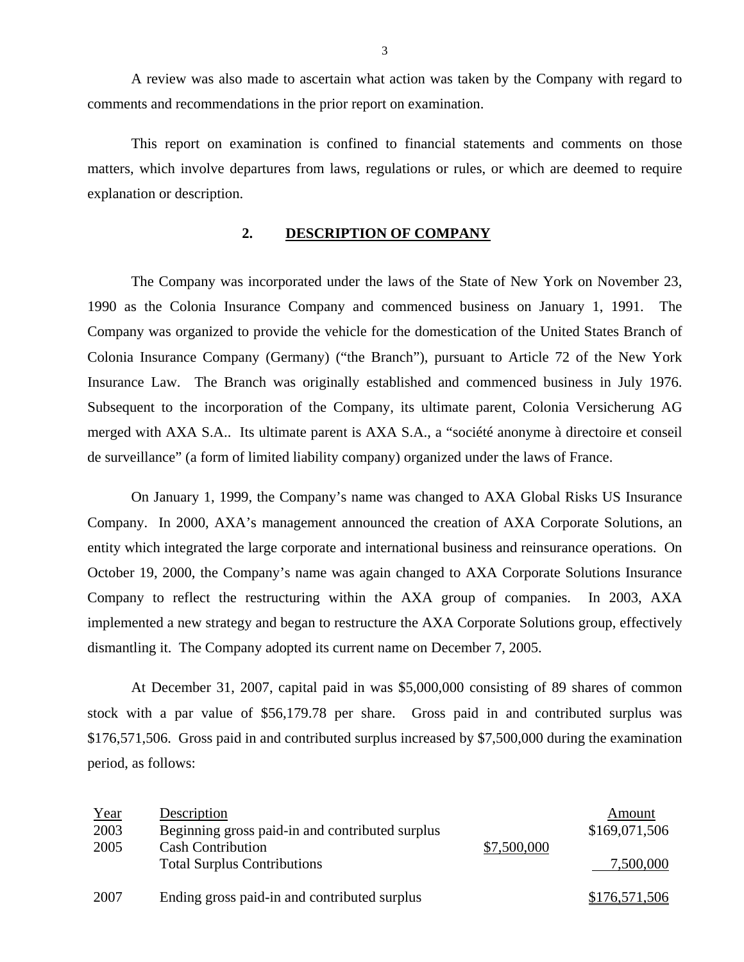A review was also made to ascertain what action was taken by the Company with regard to comments and recommendations in the prior report on examination.

This report on examination is confined to financial statements and comments on those matters, which involve departures from laws, regulations or rules, or which are deemed to require explanation or description.

## **2. DESCRIPTION OF COMPANY**

The Company was incorporated under the laws of the State of New York on November 23, 1990 as the Colonia Insurance Company and commenced business on January 1, 1991. The Company was organized to provide the vehicle for the domestication of the United States Branch of Colonia Insurance Company (Germany) ("the Branch"), pursuant to Article 72 of the New York Insurance Law. The Branch was originally established and commenced business in July 1976. Subsequent to the incorporation of the Company, its ultimate parent, Colonia Versicherung AG merged with AXA S.A.. Its ultimate parent is AXA S.A., a "société anonyme à directoire et conseil de surveillance" (a form of limited liability company) organized under the laws of France.

On January 1, 1999, the Company's name was changed to AXA Global Risks US Insurance Company. In 2000, AXA's management announced the creation of AXA Corporate Solutions, an entity which integrated the large corporate and international business and reinsurance operations. On October 19, 2000, the Company's name was again changed to AXA Corporate Solutions Insurance Company to reflect the restructuring within the AXA group of companies. In 2003, AXA implemented a new strategy and began to restructure the AXA Corporate Solutions group, effectively dismantling it. The Company adopted its current name on December 7, 2005.

At December 31, 2007, capital paid in was \$5,000,000 consisting of 89 shares of common stock with a par value of \$[56,179.78](https://56,179.78) per share. Gross paid in and contributed surplus was \$176,571,506. Gross paid in and contributed surplus increased by \$7,500,000 during the examination period, as follows:

| Year | Description                                     |             | Amount        |
|------|-------------------------------------------------|-------------|---------------|
| 2003 | Beginning gross paid-in and contributed surplus |             | \$169,071,506 |
| 2005 | <b>Cash Contribution</b>                        | \$7,500,000 |               |
|      | <b>Total Surplus Contributions</b>              |             | 7,500,000     |
| 2007 | Ending gross paid-in and contributed surplus    |             | \$176,571,506 |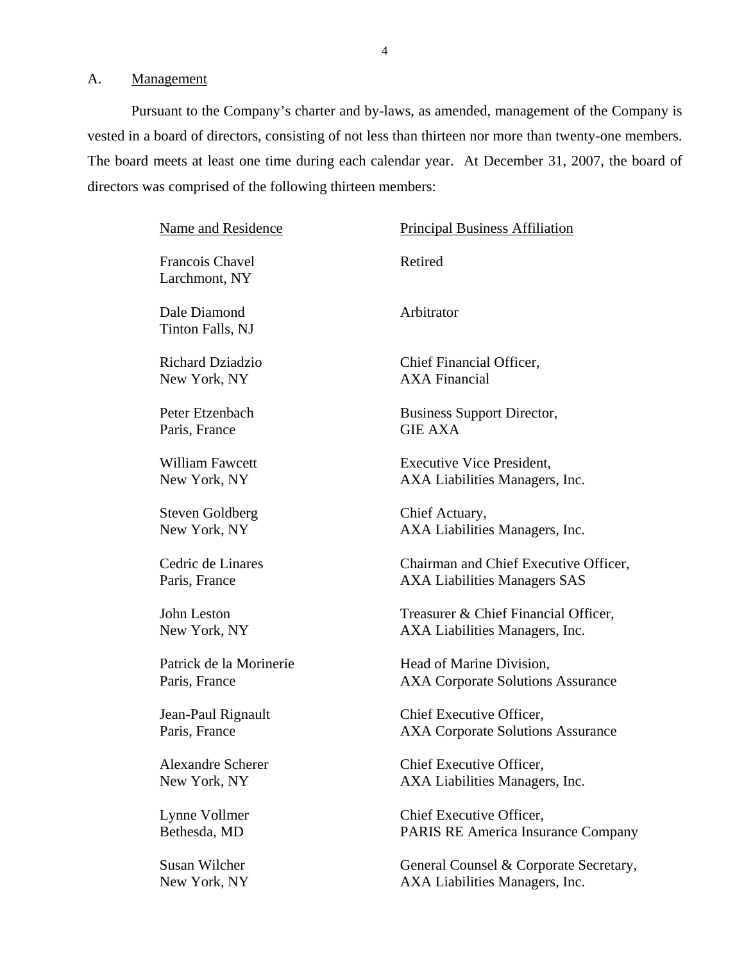<span id="page-5-0"></span>A. Management

Pursuant to the Company's charter and by-laws, as amended, management of the Company is vested in a board of directors, consisting of not less than thirteen nor more than twenty-one members. The board meets at least one time during each calendar year. At December 31, 2007, the board of directors was comprised of the following thirteen members:

| Name and Residence<br><b>Principal Business Affiliation</b> |                                           |
|-------------------------------------------------------------|-------------------------------------------|
| Francois Chavel<br>Larchmont, NY                            | Retired                                   |
| Dale Diamond<br>Tinton Falls, NJ                            | Arbitrator                                |
| Richard Dziadzio                                            | Chief Financial Officer,                  |
| New York, NY                                                | <b>AXA Financial</b>                      |
| Peter Etzenbach                                             | <b>Business Support Director,</b>         |
| Paris, France                                               | <b>GIE AXA</b>                            |
| <b>William Fawcett</b>                                      | <b>Executive Vice President,</b>          |
| New York, NY                                                | AXA Liabilities Managers, Inc.            |
| <b>Steven Goldberg</b>                                      | Chief Actuary,                            |
| New York, NY                                                | AXA Liabilities Managers, Inc.            |
| Cedric de Linares                                           | Chairman and Chief Executive Officer,     |
| Paris, France                                               | <b>AXA Liabilities Managers SAS</b>       |
| John Leston                                                 | Treasurer & Chief Financial Officer,      |
| New York, NY                                                | AXA Liabilities Managers, Inc.            |
| Patrick de la Morinerie                                     | Head of Marine Division,                  |
| Paris, France                                               | <b>AXA Corporate Solutions Assurance</b>  |
| Jean-Paul Rignault                                          | Chief Executive Officer,                  |
| Paris, France                                               | <b>AXA Corporate Solutions Assurance</b>  |
| <b>Alexandre Scherer</b>                                    | Chief Executive Officer,                  |
| New York, NY                                                | AXA Liabilities Managers, Inc.            |
| Lynne Vollmer                                               | Chief Executive Officer,                  |
| Bethesda, MD                                                | <b>PARIS RE America Insurance Company</b> |
| Susan Wilcher                                               | General Counsel & Corporate Secretary,    |
| New York, NY                                                | AXA Liabilities Managers, Inc.            |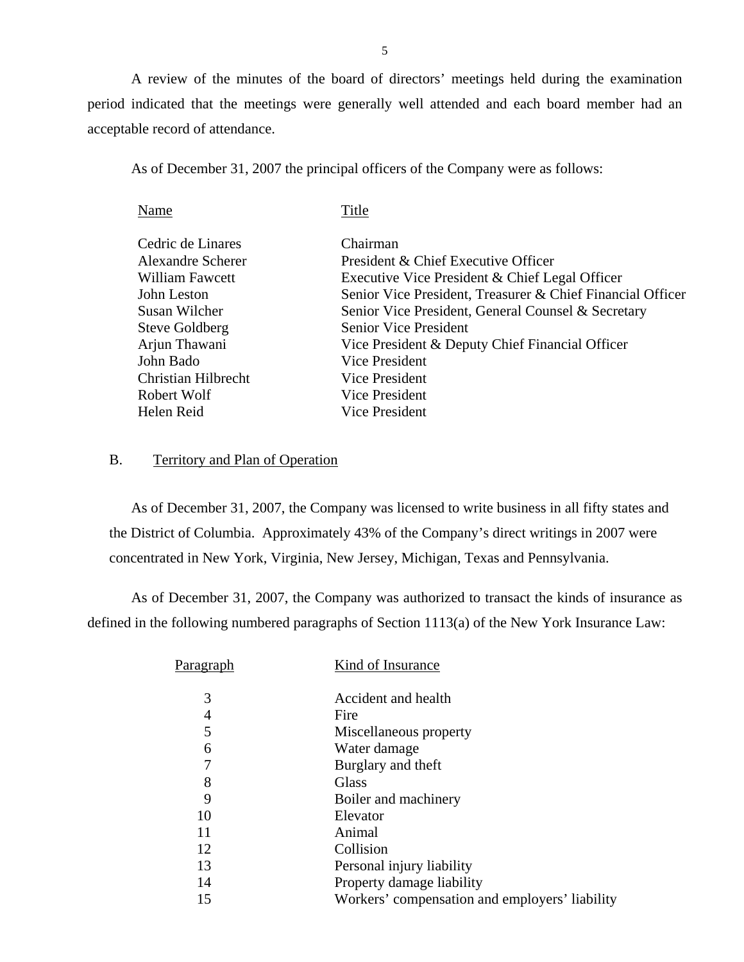A review of the minutes of the board of directors' meetings held during the examination period indicated that the meetings were generally well attended and each board member had an acceptable record of attendance.

As of December 31, 2007 the principal officers of the Company were as follows:

| Name                  | Title                                                      |
|-----------------------|------------------------------------------------------------|
| Cedric de Linares     | Chairman                                                   |
|                       |                                                            |
| Alexandre Scherer     | President & Chief Executive Officer                        |
| William Fawcett       | Executive Vice President & Chief Legal Officer             |
| John Leston           | Senior Vice President, Treasurer & Chief Financial Officer |
| Susan Wilcher         | Senior Vice President, General Counsel & Secretary         |
| <b>Steve Goldberg</b> | <b>Senior Vice President</b>                               |
| Arjun Thawani         | Vice President & Deputy Chief Financial Officer            |
| John Bado             | Vice President                                             |
| Christian Hilbrecht   | Vice President                                             |
| Robert Wolf           | Vice President                                             |
| Helen Reid            | Vice President                                             |

### B. Territory and Plan of Operation

As of December 31, 2007, the Company was licensed to write business in all fifty states and the District of Columbia. Approximately 43% of the Company's direct writings in 2007 were concentrated in New York, Virginia, New Jersey, Michigan, Texas and Pennsylvania.

As of December 31, 2007, the Company was authorized to transact the kinds of insurance as defined in the following numbered paragraphs of Section 1113(a) of the New York Insurance Law:

| P <u>aragraph</u> | Kind of Insurance                              |
|-------------------|------------------------------------------------|
| 3                 | Accident and health                            |
| 4                 | Fire                                           |
| 5                 | Miscellaneous property                         |
| 6                 | Water damage                                   |
| 7                 | Burglary and theft                             |
| 8                 | Glass                                          |
| 9                 | Boiler and machinery                           |
| 10                | Elevator                                       |
| 11                | Animal                                         |
| 12                | Collision                                      |
| 13                | Personal injury liability                      |
| 14                | Property damage liability                      |
| 15                | Workers' compensation and employers' liability |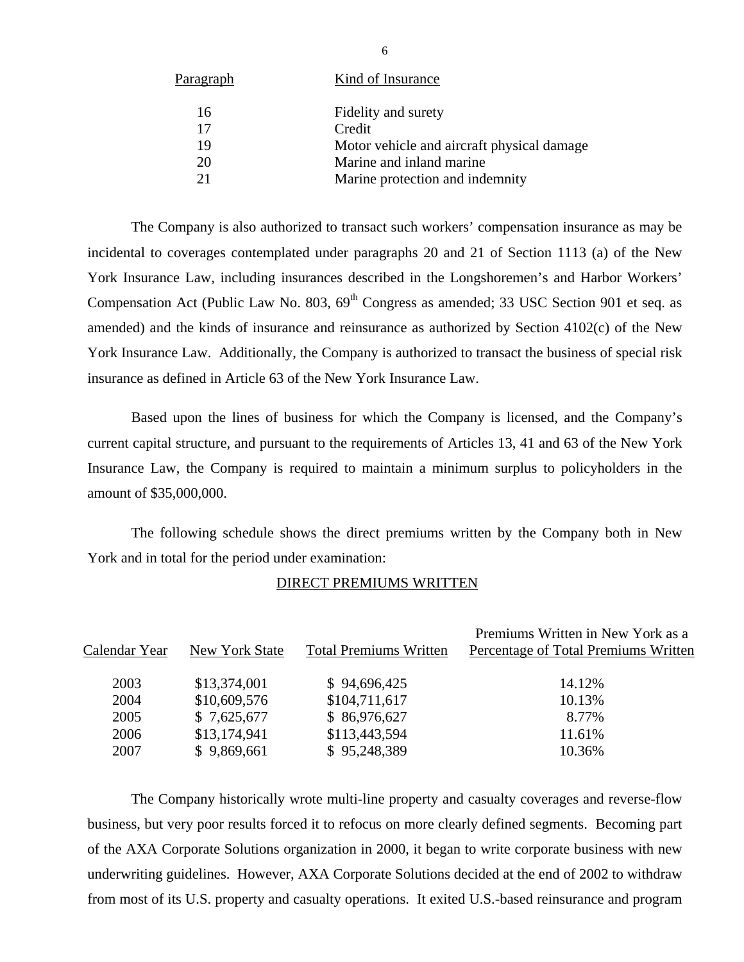| <b>Paragraph</b> | Kind of Insurance                          |
|------------------|--------------------------------------------|
| 16               | Fidelity and surety                        |
| 17               | Credit                                     |
| 19               | Motor vehicle and aircraft physical damage |
| 20               | Marine and inland marine                   |
| 21               | Marine protection and indemnity            |
|                  |                                            |

The Company is also authorized to transact such workers' compensation insurance as may be incidental to coverages contemplated under paragraphs 20 and 21 of Section 1113 (a) of the New York Insurance Law, including insurances described in the Longshoremen's and Harbor Workers' Compensation Act (Public Law No. 803,  $69<sup>th</sup>$  Congress as amended; 33 USC Section 901 et seq. as amended) and the kinds of insurance and reinsurance as authorized by Section 4102(c) of the New York Insurance Law. Additionally, the Company is authorized to transact the business of special risk insurance as defined in Article 63 of the New York Insurance Law.

Based upon the lines of business for which the Company is licensed, and the Company's current capital structure, and pursuant to the requirements of Articles 13, 41 and 63 of the New York Insurance Law, the Company is required to maintain a minimum surplus to policyholders in the amount of \$35,000,000.

The following schedule shows the direct premiums written by the Company both in New York and in total for the period under examination:

|               |                |                               | Premiums Written in New York as a    |
|---------------|----------------|-------------------------------|--------------------------------------|
| Calendar Year | New York State | <b>Total Premiums Written</b> | Percentage of Total Premiums Written |
|               |                |                               |                                      |
| 2003          | \$13,374,001   | \$94,696,425                  | 14.12%                               |
| 2004          | \$10,609,576   | \$104,711,617                 | 10.13%                               |
| 2005          | \$7,625,677    | \$86,976,627                  | 8.77%                                |
| 2006          | \$13,174,941   | \$113,443,594                 | 11.61%                               |
| 2007          | \$9,869,661    | \$95,248,389                  | 10.36%                               |
|               |                |                               |                                      |

#### DIRECT PREMIUMS WRITTEN

The Company historically wrote multi-line property and casualty coverages and reverse-flow business, but very poor results forced it to refocus on more clearly defined segments. Becoming part of the AXA Corporate Solutions organization in 2000, it began to write corporate business with new underwriting guidelines. However, AXA Corporate Solutions decided at the end of 2002 to withdraw from most of its U.S. property and casualty operations. It exited U.S.-based reinsurance and program

6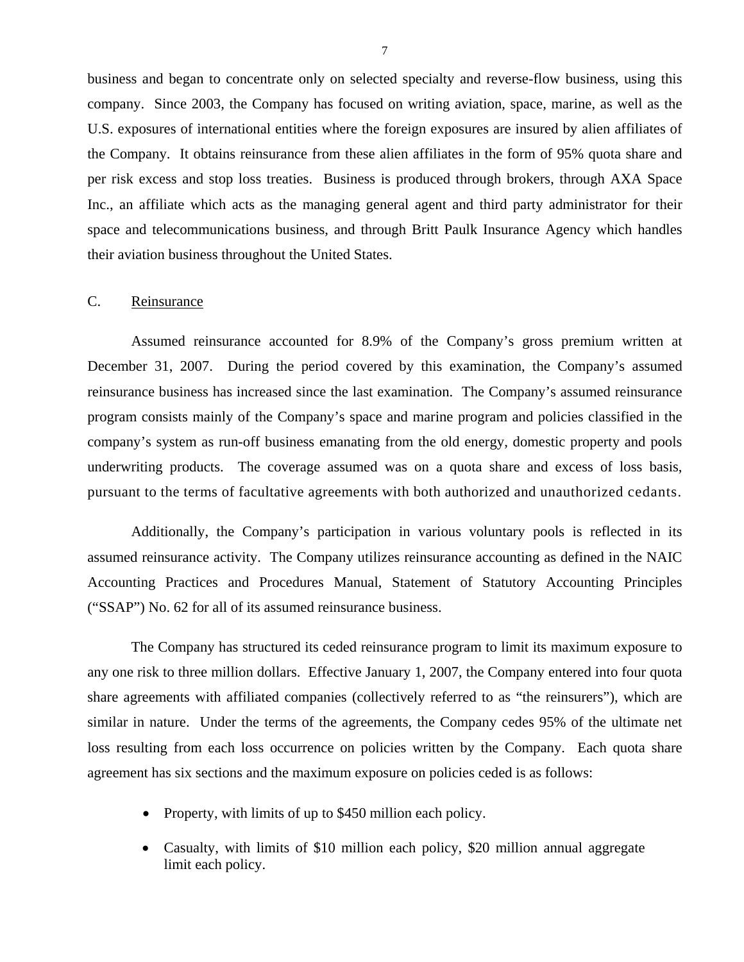<span id="page-8-0"></span>business and began to concentrate only on selected specialty and reverse-flow business, using this company. Since 2003, the Company has focused on writing aviation, space, marine, as well as the U.S. exposures of international entities where the foreign exposures are insured by alien affiliates of the Company. It obtains reinsurance from these alien affiliates in the form of 95% quota share and per risk excess and stop loss treaties. Business is produced through brokers, through AXA Space Inc., an affiliate which acts as the managing general agent and third party administrator for their space and telecommunications business, and through Britt Paulk Insurance Agency which handles their aviation business throughout the United States.

## C. Reinsurance

 pursuant to the terms of facultative agreements with both authorized and unauthorized cedants. Assumed reinsurance accounted for 8.9% of the Company's gross premium written at December 31, 2007. During the period covered by this examination, the Company's assumed reinsurance business has increased since the last examination. The Company's assumed reinsurance program consists mainly of the Company's space and marine program and policies classified in the company's system as run-off business emanating from the old energy, domestic property and pools underwriting products. The coverage assumed was on a quota share and excess of loss basis,

Additionally, the Company's participation in various voluntary pools is reflected in its assumed reinsurance activity. The Company utilizes reinsurance accounting as defined in the NAIC Accounting Practices and Procedures Manual, Statement of Statutory Accounting Principles ("SSAP") No. 62 for all of its assumed reinsurance business.

The Company has structured its ceded reinsurance program to limit its maximum exposure to any one risk to three million dollars. Effective January 1, 2007, the Company entered into four quota share agreements with affiliated companies (collectively referred to as "the reinsurers"), which are similar in nature. Under the terms of the agreements, the Company cedes 95% of the ultimate net loss resulting from each loss occurrence on policies written by the Company. Each quota share agreement has six sections and the maximum exposure on policies ceded is as follows:

- Property, with limits of up to \$450 million each policy.
- Casualty, with limits of \$10 million each policy, \$20 million annual aggregate limit each policy.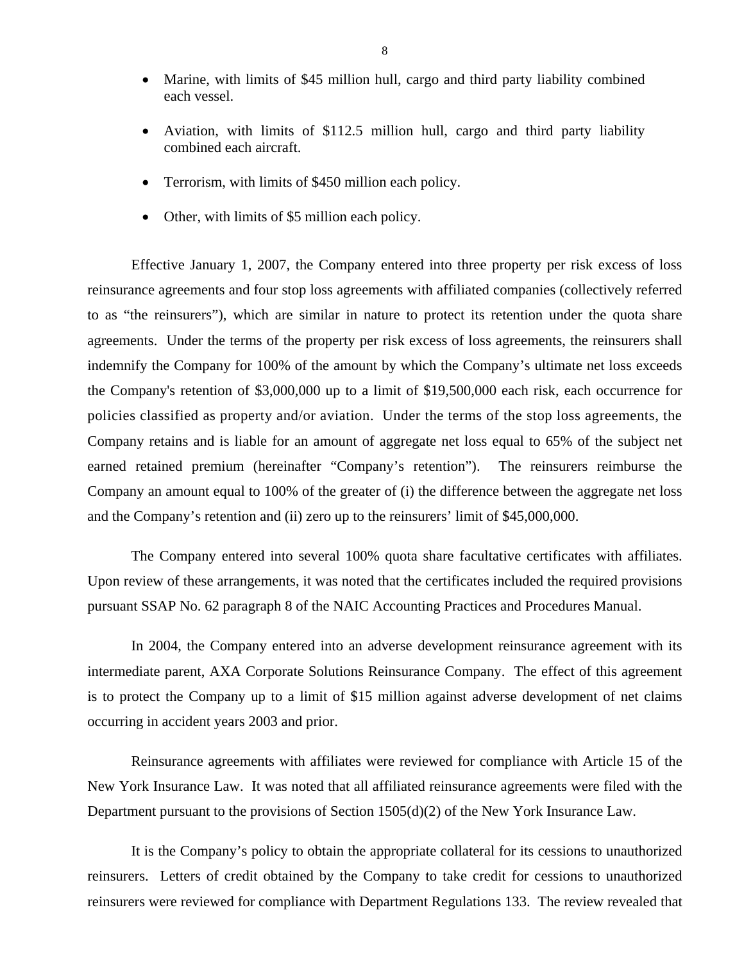- Marine, with limits of \$45 million hull, cargo and third party liability combined each vessel.
- Aviation, with limits of \$112.5 million hull, cargo and third party liability combined each aircraft.
- Terrorism, with limits of \$450 million each policy.
- Other, with limits of \$5 million each policy.

Effective January 1, 2007, the Company entered into three property per risk excess of loss reinsurance agreements and four stop loss agreements with affiliated companies (collectively referred to as "the reinsurers"), which are similar in nature to protect its retention under the quota share agreements. Under the terms of the property per risk excess of loss agreements, the reinsurers shall indemnify the Company for 100% of the amount by which the Company's ultimate net loss exceeds the Company's retention of \$3,000,000 up to a limit of \$19,500,000 each risk, each occurrence for policies classified as property and/or aviation. Under the terms of the stop loss agreements, the Company retains and is liable for an amount of aggregate net loss equal to 65% of the subject net earned retained premium (hereinafter "Company's retention"). The reinsurers reimburse the Company an amount equal to 100% of the greater of (i) the difference between the aggregate net loss and the Company's retention and (ii) zero up to the reinsurers' limit of \$45,000,000.

The Company entered into several 100% quota share facultative certificates with affiliates. Upon review of these arrangements, it was noted that the certificates included the required provisions. pursuant SSAP No. 62 paragraph 8 of the NAIC Accounting Practices and Procedures Manual.

In 2004, the Company entered into an adverse development reinsurance agreement with its intermediate parent, AXA Corporate Solutions Reinsurance Company. The effect of this agreement is to protect the Company up to a limit of \$15 million against adverse development of net claims occurring in accident years 2003 and prior.

Reinsurance agreements with affiliates were reviewed for compliance with Article 15 of the New York Insurance Law. It was noted that all affiliated reinsurance agreements were filed with the Department pursuant to the provisions of Section 1505(d)(2) of the New York Insurance Law.

It is the Company's policy to obtain the appropriate collateral for its cessions to unauthorized reinsurers. Letters of credit obtained by the Company to take credit for cessions to unauthorized reinsurers were reviewed for compliance with Department Regulations 133. The review revealed that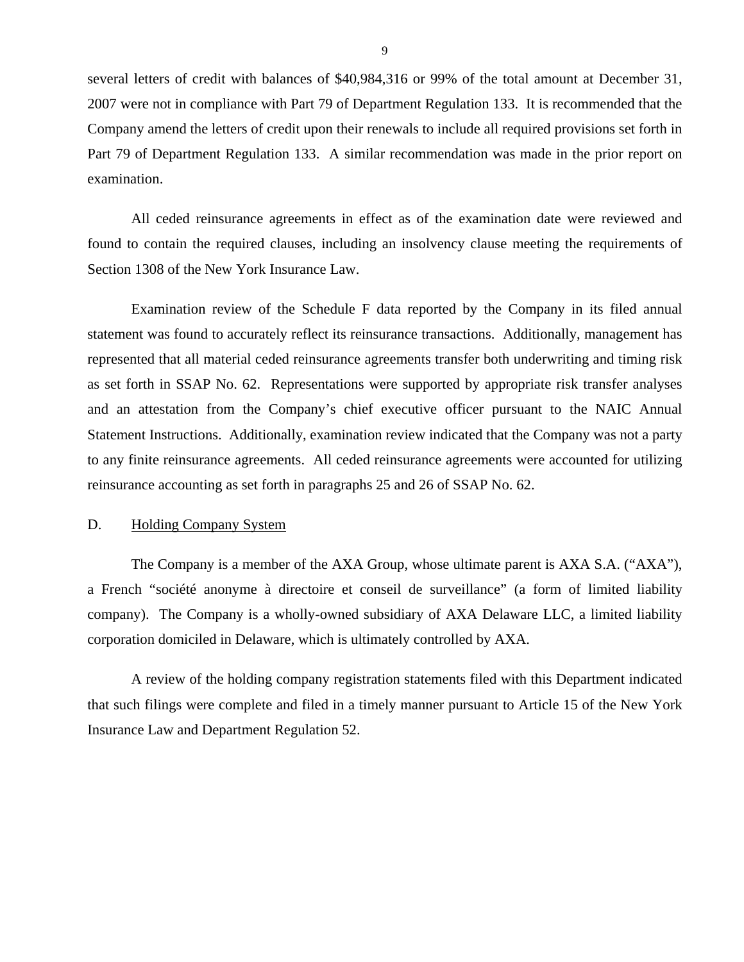<span id="page-10-0"></span>several letters of credit with balances of \$40,984,316 or 99% of the total amount at December 31, 2007 were not in compliance with Part 79 of Department Regulation 133. It is recommended that the Company amend the letters of credit upon their renewals to include all required provisions set forth in Part 79 of Department Regulation 133. A similar recommendation was made in the prior report on examination.

All ceded reinsurance agreements in effect as of the examination date were reviewed and found to contain the required clauses, including an insolvency clause meeting the requirements of Section 1308 of the New York Insurance Law.

Examination review of the Schedule F data reported by the Company in its filed annual statement was found to accurately reflect its reinsurance transactions. Additionally, management has represented that all material ceded reinsurance agreements transfer both underwriting and timing risk as set forth in SSAP No. 62. Representations were supported by appropriate risk transfer analyses and an attestation from the Company's chief executive officer pursuant to the NAIC Annual Statement Instructions. Additionally, examination review indicated that the Company was not a party to any finite reinsurance agreements. All ceded reinsurance agreements were accounted for utilizing reinsurance accounting as set forth in paragraphs 25 and 26 of SSAP No. 62.

## D. Holding Company System

The Company is a member of the AXA Group, whose ultimate parent is AXA S.A. ("AXA"), a French "société anonyme à directoire et conseil de surveillance" (a form of limited liability company). The Company is a wholly-owned subsidiary of AXA Delaware LLC, a limited liability corporation domiciled in Delaware, which is ultimately controlled by AXA.

A review of the holding company registration statements filed with this Department indicated that such filings were complete and filed in a timely manner pursuant to Article 15 of the New York Insurance Law and Department Regulation 52.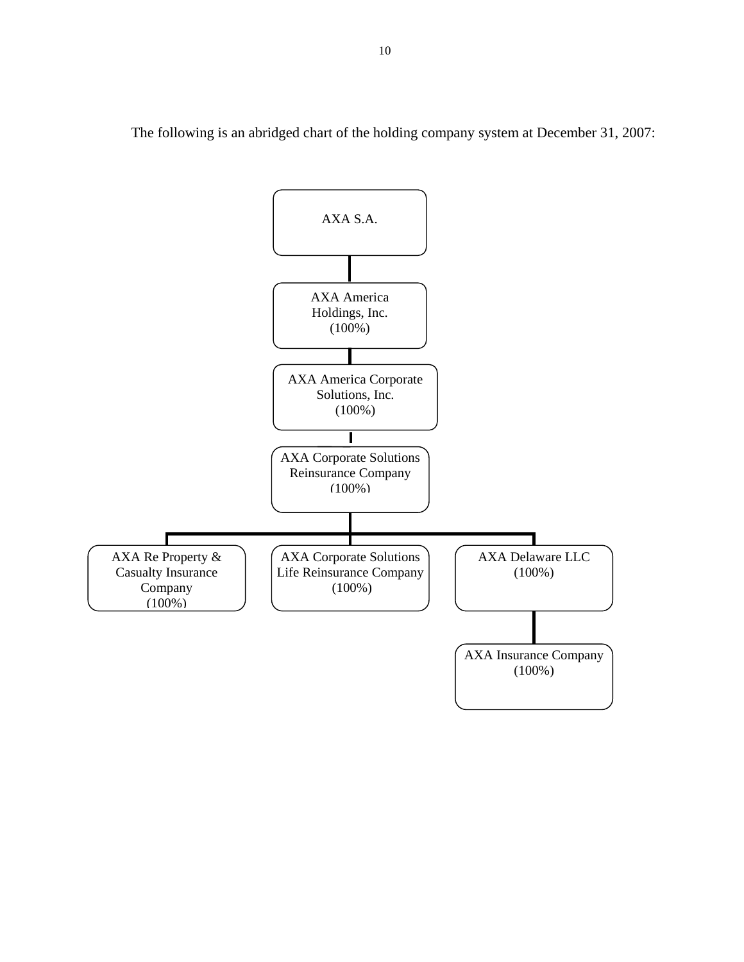AXA S.A.  $\overline{\phantom{a}}$ AXA America Holdings, Inc. (100%)  $\overline{\mathsf{L}}$ AXA America Corporate Solutions, Inc. (100%)  $\blacksquare$ AXA Corporate Solutions Reinsurance Company (100%) \.. ~  $\overline{\phantom{a}}$ AXA Re Property & AXA Corporate Solutions <br>AXA Delaware LLC AXA Delaware LLC AXA Re Property & Casualty Insurance Life Reinsurance Company (100%) Company (100%)  $(100\%)$  $\bigvee \quad (100\%) \quad \bigvee \quad (100\%)$ I AXA Insurance Company (100%)

 $\diagdown$ 

The following is an abridged chart of the holding company system at December 31, 2007: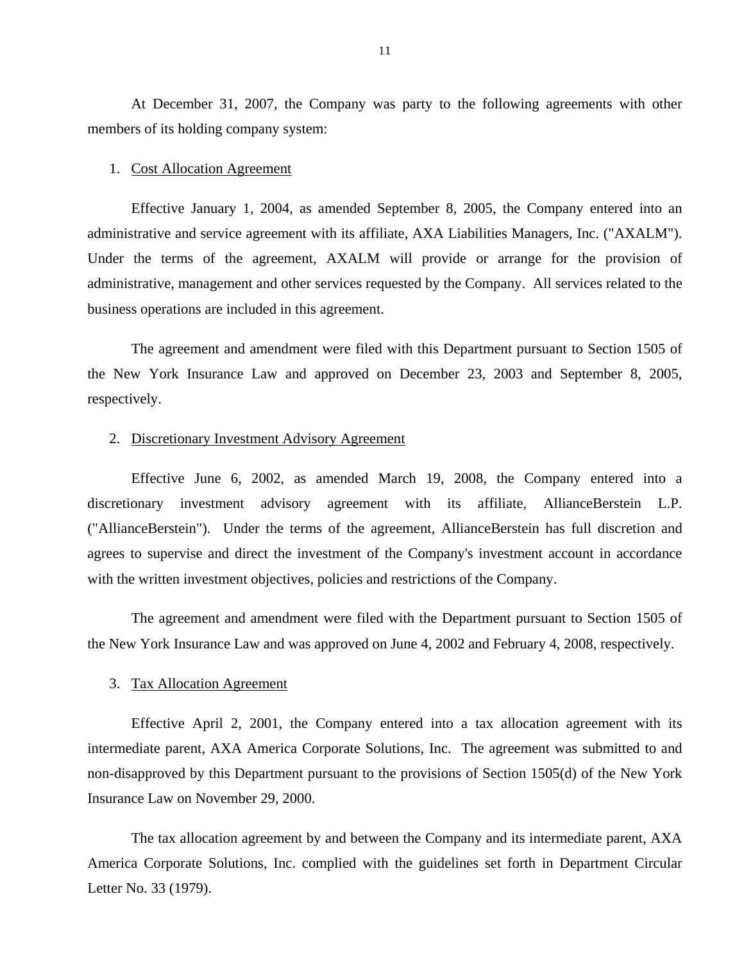At December 31, 2007, the Company was party to the following agreements with other members of its holding company system:

#### 1. Cost Allocation Agreement

Effective January 1, 2004, as amended September 8, 2005, the Company entered into an administrative and service agreement with its affiliate, AXA Liabilities Managers, Inc. ("AXALM"). Under the terms of the agreement, AXALM will provide or arrange for the provision of administrative, management and other services requested by the Company. All services related to the business operations are included in this agreement.

The agreement and amendment were filed with this Department pursuant to Section 1505 of the New York Insurance Law and approved on December 23, 2003 and September 8, 2005, respectively.

#### 2. Discretionary Investment Advisory Agreement

Effective June 6, 2002, as amended March 19, 2008, the Company entered into a discretionary investment advisory agreement with its affiliate, AllianceBerstein L.P. ("AllianceBerstein"). Under the terms of the agreement, AllianceBerstein has full discretion and agrees to supervise and direct the investment of the Company's investment account in accordance with the written investment objectives, policies and restrictions of the Company.

The agreement and amendment were filed with the Department pursuant to Section 1505 of the New York Insurance Law and was approved on June 4, 2002 and February 4, 2008, respectively.

#### 3. Tax Allocation Agreement

Effective April 2, 2001, the Company entered into a tax allocation agreement with its intermediate parent, AXA America Corporate Solutions, Inc. The agreement was submitted to and non-disapproved by this Department pursuant to the provisions of Section 1505(d) of the New York Insurance Law on November 29, 2000.

The tax allocation agreement by and between the Company and its intermediate parent, AXA America Corporate Solutions, Inc. complied with the guidelines set forth in Department Circular Letter No. 33 (1979).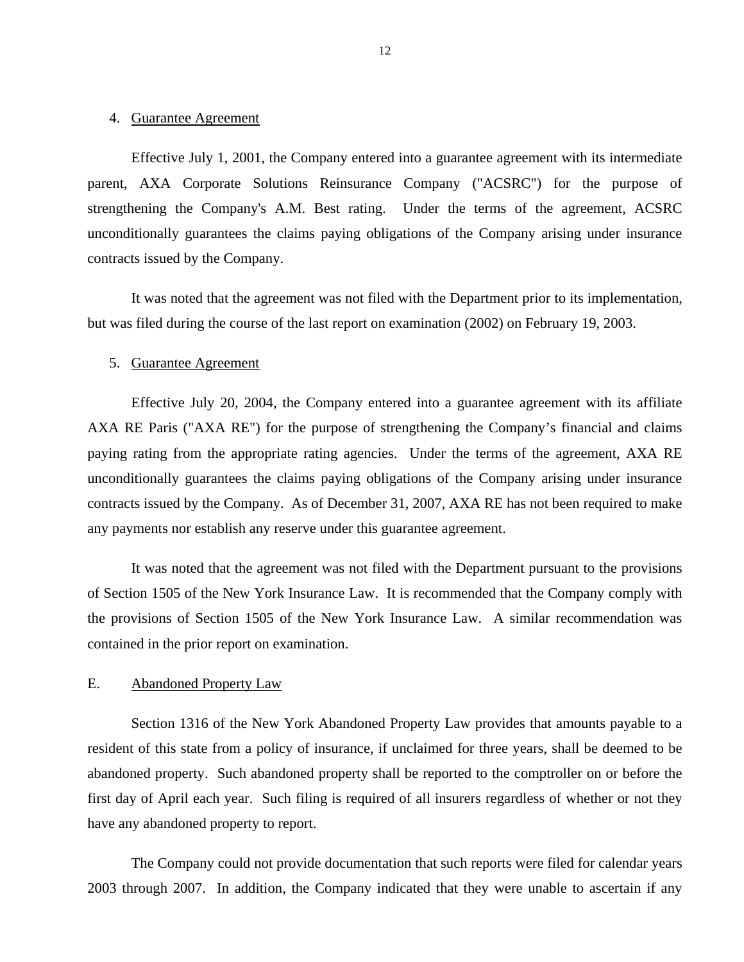#### <span id="page-13-0"></span>4. Guarantee Agreement

Effective July 1, 2001, the Company entered into a guarantee agreement with its intermediate parent, AXA Corporate Solutions Reinsurance Company ("ACSRC") for the purpose of strengthening the Company's A.M. Best rating. Under the terms of the agreement, ACSRC unconditionally guarantees the claims paying obligations of the Company arising under insurance contracts issued by the Company.

It was noted that the agreement was not filed with the Department prior to its implementation, but was filed during the course of the last report on examination (2002) on February 19, 2003.

#### 5. Guarantee Agreement

Effective July 20, 2004, the Company entered into a guarantee agreement with its affiliate AXA RE Paris ("AXA RE") for the purpose of strengthening the Company's financial and claims paying rating from the appropriate rating agencies. Under the terms of the agreement, AXA RE unconditionally guarantees the claims paying obligations of the Company arising under insurance contracts issued by the Company. As of December 31, 2007, AXA RE has not been required to make any payments nor establish any reserve under this guarantee agreement.

It was noted that the agreement was not filed with the Department pursuant to the provisions of Section 1505 of the New York Insurance Law. It is recommended that the Company comply with the provisions of Section 1505 of the New York Insurance Law. A similar recommendation was contained in the prior report on examination.

#### E. Abandoned Property Law

Section 1316 of the New York Abandoned Property Law provides that amounts payable to a resident of this state from a policy of insurance, if unclaimed for three years, shall be deemed to be abandoned property. Such abandoned property shall be reported to the comptroller on or before the first day of April each year. Such filing is required of all insurers regardless of whether or not they have any abandoned property to report.

The Company could not provide documentation that such reports were filed for calendar years 2003 through 2007. In addition, the Company indicated that they were unable to ascertain if any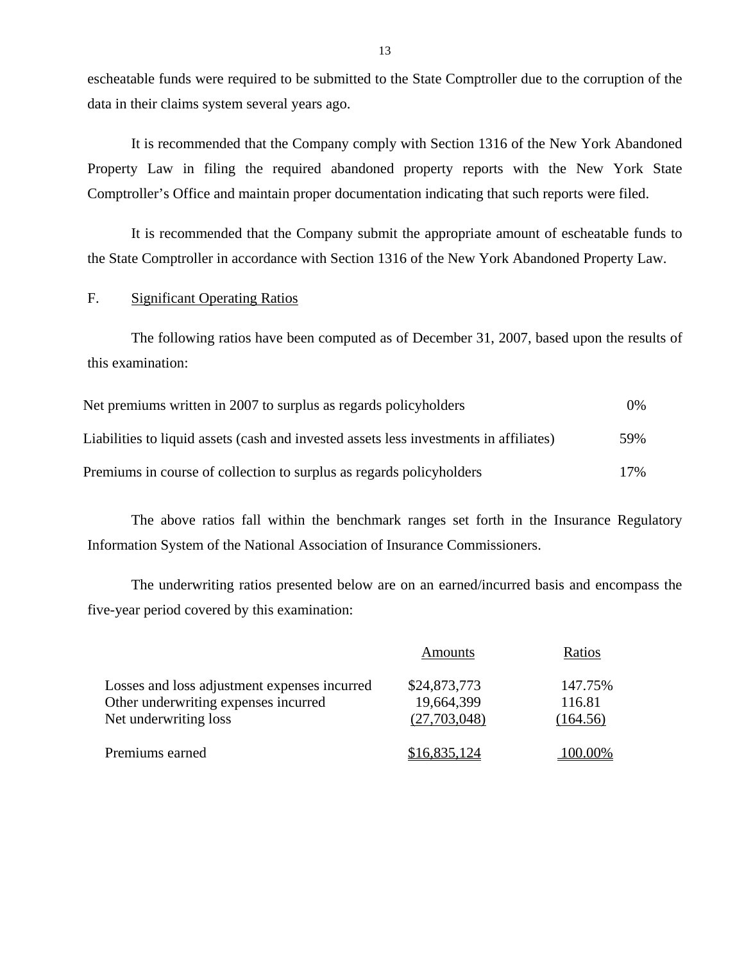escheatable funds were required to be submitted to the State Comptroller due to the corruption of the data in their claims system several years ago.

It is recommended that the Company comply with Section 1316 of the New York Abandoned Property Law in filing the required abandoned property reports with the New York State Comptroller's Office and maintain proper documentation indicating that such reports were filed.

It is recommended that the Company submit the appropriate amount of escheatable funds to the State Comptroller in accordance with Section 1316 of the New York Abandoned Property Law.

## F. Significant Operating Ratios

The following ratios have been computed as of December 31, 2007, based upon the results of this examination:

| Net premiums written in 2007 to surplus as regards policyholders                       | $0\%$  |
|----------------------------------------------------------------------------------------|--------|
| Liabilities to liquid assets (cash and invested assets less investments in affiliates) | 59%    |
| Premiums in course of collection to surplus as regards policyholders                   | $17\%$ |

The above ratios fall within the benchmark ranges set forth in the Insurance Regulatory Information System of the National Association of Insurance Commissioners.

The underwriting ratios presented below are on an earned/incurred basis and encompass the five-year period covered by this examination:

|                                                                                      | Amounts                    | Ratios            |
|--------------------------------------------------------------------------------------|----------------------------|-------------------|
| Losses and loss adjustment expenses incurred<br>Other underwriting expenses incurred | \$24,873,773<br>19,664,399 | 147.75%<br>116.81 |
| Net underwriting loss                                                                | (27,703,048)               | (164.56)          |
| Premiums earned                                                                      | \$16,835,124               | 100.00%           |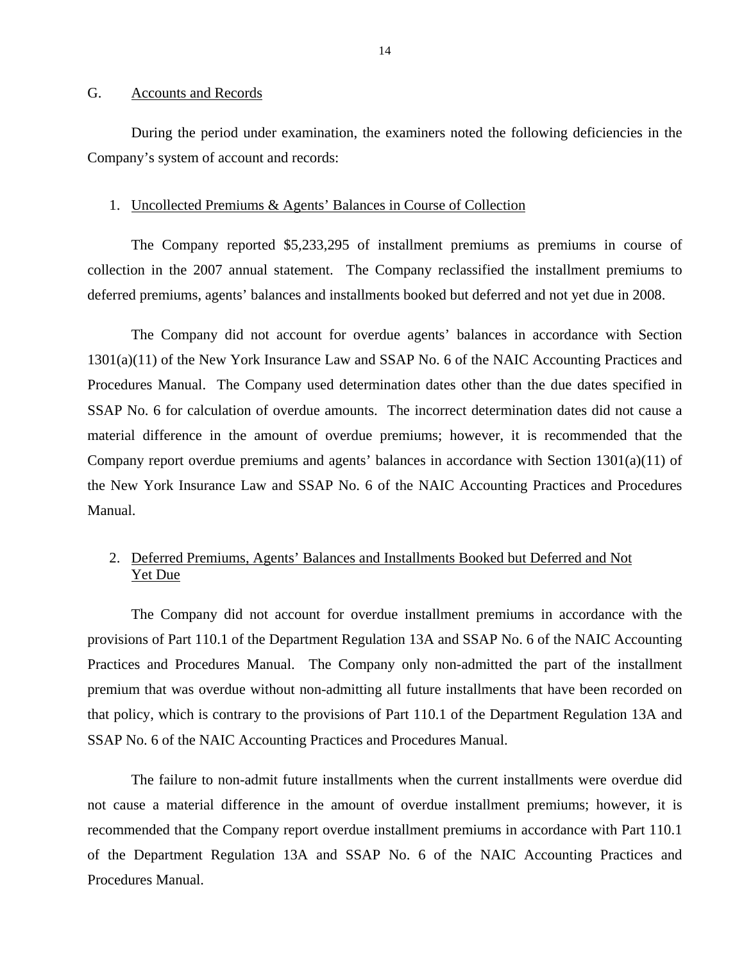#### <span id="page-15-0"></span>G. Accounts and Records

During the period under examination, the examiners noted the following deficiencies in the Company's system of account and records:

#### 1. Uncollected Premiums & Agents' Balances in Course of Collection

The Company reported \$5,233,295 of installment premiums as premiums in course of collection in the 2007 annual statement. The Company reclassified the installment premiums to deferred premiums, agents' balances and installments booked but deferred and not yet due in 2008.

The Company did not account for overdue agents' balances in accordance with Section 1301(a)(11) of the New York Insurance Law and SSAP No. 6 of the NAIC Accounting Practices and Procedures Manual. The Company used determination dates other than the due dates specified in SSAP No. 6 for calculation of overdue amounts. The incorrect determination dates did not cause a material difference in the amount of overdue premiums; however, it is recommended that the Company report overdue premiums and agents' balances in accordance with Section 1301(a)(11) of the New York Insurance Law and SSAP No. 6 of the NAIC Accounting Practices and Procedures Manual.

## 2. Deferred Premiums, Agents' Balances and Installments Booked but Deferred and Not Yet Due

The Company did not account for overdue installment premiums in accordance with the provisions of Part 110.1 of the Department Regulation 13A and SSAP No. 6 of the NAIC Accounting Practices and Procedures Manual. The Company only non-admitted the part of the installment premium that was overdue without non-admitting all future installments that have been recorded on that policy, which is contrary to the provisions of Part 110.1 of the Department Regulation 13A and SSAP No. 6 of the NAIC Accounting Practices and Procedures Manual.

The failure to non-admit future installments when the current installments were overdue did not cause a material difference in the amount of overdue installment premiums; however, it is recommended that the Company report overdue installment premiums in accordance with Part 110.1 of the Department Regulation 13A and SSAP No. 6 of the NAIC Accounting Practices and Procedures Manual.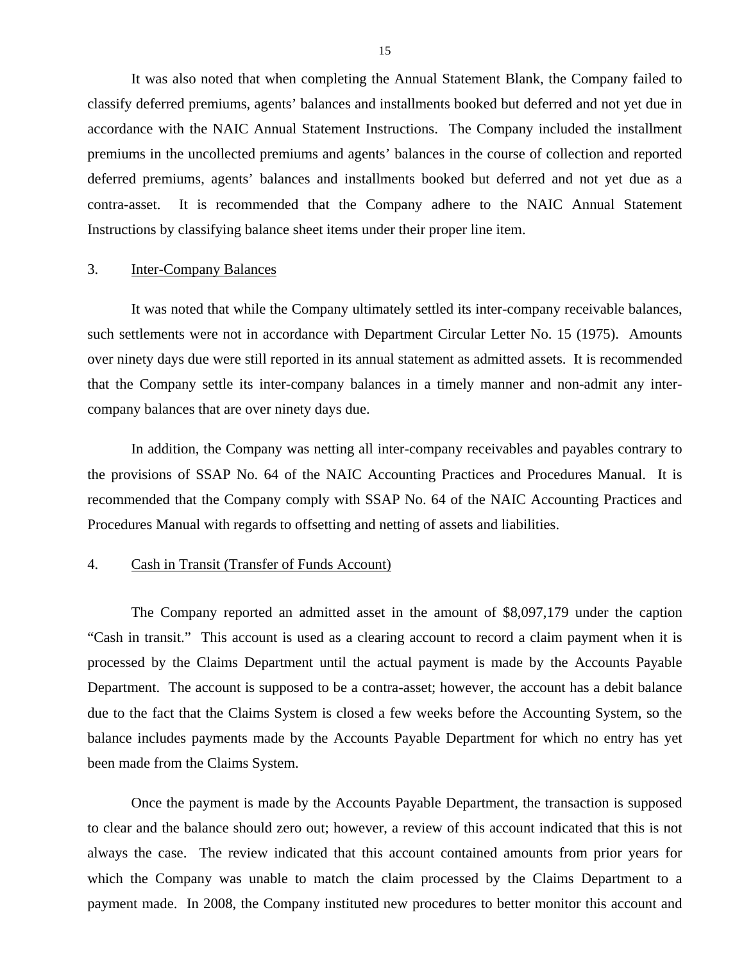It was also noted that when completing the Annual Statement Blank, the Company failed to classify deferred premiums, agents' balances and installments booked but deferred and not yet due in accordance with the NAIC Annual Statement Instructions. The Company included the installment premiums in the uncollected premiums and agents' balances in the course of collection and reported deferred premiums, agents' balances and installments booked but deferred and not yet due as a contra-asset. It is recommended that the Company adhere to the NAIC Annual Statement Instructions by classifying balance sheet items under their proper line item.

## 3. Inter-Company Balances

It was noted that while the Company ultimately settled its inter-company receivable balances, such settlements were not in accordance with Department Circular Letter No. 15 (1975). Amounts over ninety days due were still reported in its annual statement as admitted assets. It is recommended that the Company settle its inter-company balances in a timely manner and non-admit any intercompany balances that are over ninety days due.

In addition, the Company was netting all inter-company receivables and payables contrary to the provisions of SSAP No. 64 of the NAIC Accounting Practices and Procedures Manual. It is recommended that the Company comply with SSAP No. 64 of the NAIC Accounting Practices and Procedures Manual with regards to offsetting and netting of assets and liabilities.

#### 4. Cash in Transit (Transfer of Funds Account)

The Company reported an admitted asset in the amount of \$8,097,179 under the caption "Cash in transit." This account is used as a clearing account to record a claim payment when it is processed by the Claims Department until the actual payment is made by the Accounts Payable Department. The account is supposed to be a contra-asset; however, the account has a debit balance due to the fact that the Claims System is closed a few weeks before the Accounting System, so the balance includes payments made by the Accounts Payable Department for which no entry has yet been made from the Claims System.

Once the payment is made by the Accounts Payable Department, the transaction is supposed to clear and the balance should zero out; however, a review of this account indicated that this is not always the case. The review indicated that this account contained amounts from prior years for which the Company was unable to match the claim processed by the Claims Department to a payment made. In 2008, the Company instituted new procedures to better monitor this account and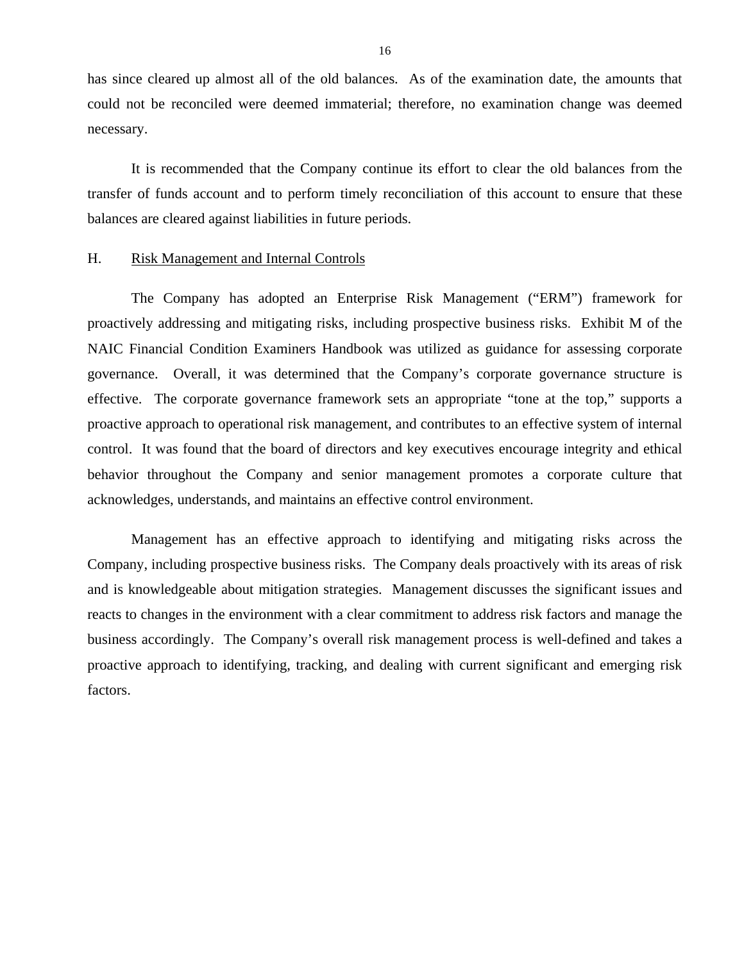<span id="page-17-0"></span>has since cleared up almost all of the old balances. As of the examination date, the amounts that could not be reconciled were deemed immaterial; therefore, no examination change was deemed necessary.

It is recommended that the Company continue its effort to clear the old balances from the transfer of funds account and to perform timely reconciliation of this account to ensure that these balances are cleared against liabilities in future periods.

#### H. Risk Management and Internal Controls

The Company has adopted an Enterprise Risk Management ("ERM") framework for proactively addressing and mitigating risks, including prospective business risks. Exhibit M of the NAIC Financial Condition Examiners Handbook was utilized as guidance for assessing corporate governance. Overall, it was determined that the Company's corporate governance structure is effective. The corporate governance framework sets an appropriate "tone at the top," supports a proactive approach to operational risk management, and contributes to an effective system of internal control. It was found that the board of directors and key executives encourage integrity and ethical behavior throughout the Company and senior management promotes a corporate culture that acknowledges, understands, and maintains an effective control environment.

Management has an effective approach to identifying and mitigating risks across the Company, including prospective business risks. The Company deals proactively with its areas of risk and is knowledgeable about mitigation strategies. Management discusses the significant issues and reacts to changes in the environment with a clear commitment to address risk factors and manage the business accordingly. The Company's overall risk management process is well-defined and takes a proactive approach to identifying, tracking, and dealing with current significant and emerging risk factors.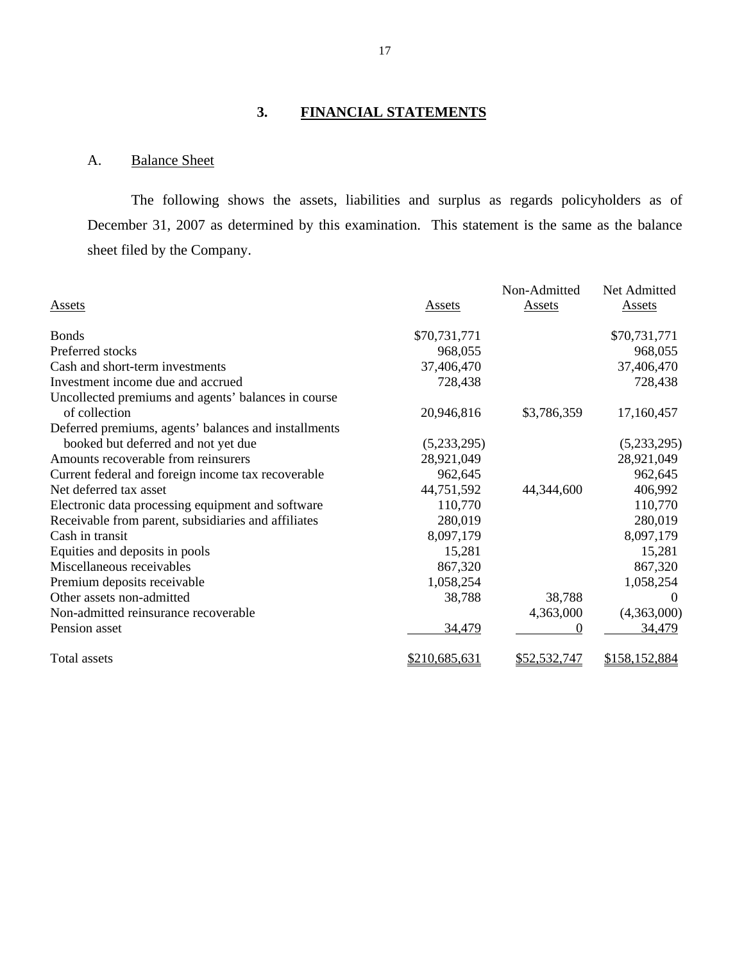# **3. FINANCIAL STATEMENTS**

## A. Balance Sheet

The following shows the assets, liabilities and surplus as regards policyholders as of December 31, 2007 as determined by this examination. This statement is the same as the balance sheet filed by the Company.

|                                                      |               | Non-Admitted  | Net Admitted  |
|------------------------------------------------------|---------------|---------------|---------------|
| <b>Assets</b>                                        | <b>Assets</b> | <b>Assets</b> | <b>Assets</b> |
|                                                      |               |               |               |
| <b>Bonds</b>                                         | \$70,731,771  |               | \$70,731,771  |
| Preferred stocks                                     | 968,055       |               | 968,055       |
| Cash and short-term investments                      | 37,406,470    |               | 37,406,470    |
| Investment income due and accrued                    | 728,438       |               | 728,438       |
| Uncollected premiums and agents' balances in course  |               |               |               |
| of collection                                        | 20,946,816    | \$3,786,359   | 17,160,457    |
| Deferred premiums, agents' balances and installments |               |               |               |
| booked but deferred and not yet due                  | (5,233,295)   |               | (5,233,295)   |
| Amounts recoverable from reinsurers                  | 28,921,049    |               | 28,921,049    |
| Current federal and foreign income tax recoverable   | 962,645       |               | 962,645       |
| Net deferred tax asset                               | 44,751,592    | 44,344,600    | 406,992       |
| Electronic data processing equipment and software    | 110,770       |               | 110,770       |
| Receivable from parent, subsidiaries and affiliates  | 280,019       |               | 280,019       |
| Cash in transit                                      | 8,097,179     |               | 8,097,179     |
| Equities and deposits in pools                       | 15,281        |               | 15,281        |
| Miscellaneous receivables                            | 867,320       |               | 867,320       |
| Premium deposits receivable                          | 1,058,254     |               | 1,058,254     |
| Other assets non-admitted                            | 38,788        | 38,788        | $\Omega$      |
| Non-admitted reinsurance recoverable                 |               | 4,363,000     | (4,363,000)   |
| Pension asset                                        | 34,479        | $\Omega$      | 34,479        |
| Total assets                                         | \$210,685,631 | \$52,532,747  | \$158,152,884 |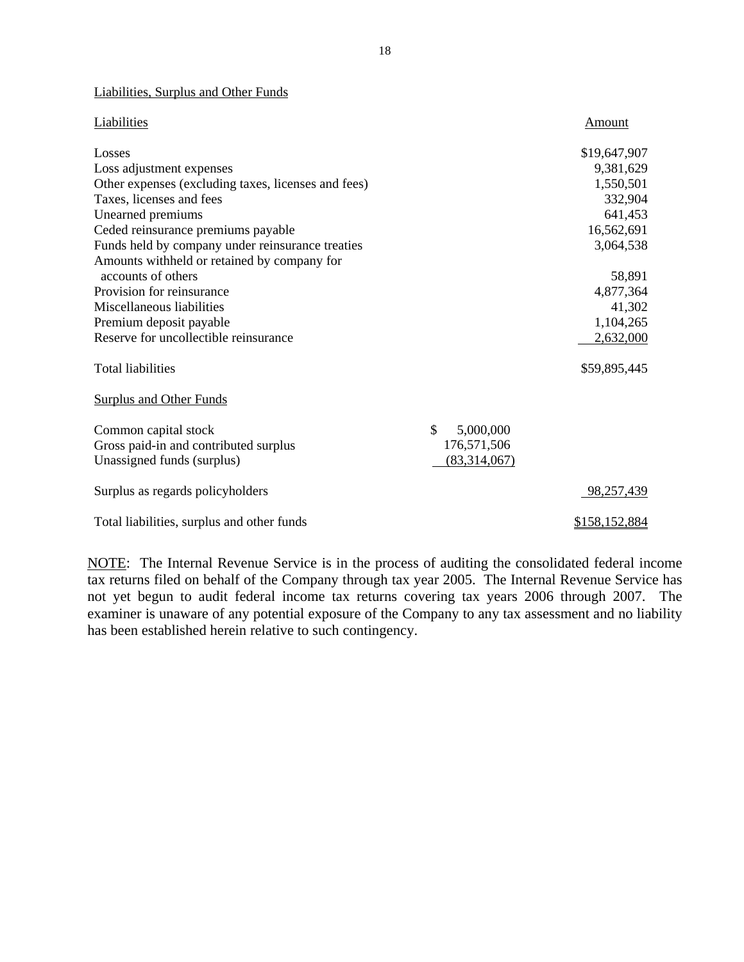#### Liabilities, Surplus and Other Funds

| Liabilities                                         |                 | <b>Amount</b> |
|-----------------------------------------------------|-----------------|---------------|
| Losses                                              |                 | \$19,647,907  |
| Loss adjustment expenses                            |                 | 9,381,629     |
| Other expenses (excluding taxes, licenses and fees) |                 | 1,550,501     |
| Taxes, licenses and fees                            |                 | 332,904       |
| Unearned premiums                                   |                 | 641,453       |
| Ceded reinsurance premiums payable                  |                 | 16,562,691    |
| Funds held by company under reinsurance treaties    |                 | 3,064,538     |
| Amounts withheld or retained by company for         |                 |               |
| accounts of others                                  |                 | 58,891        |
| Provision for reinsurance                           |                 | 4,877,364     |
| Miscellaneous liabilities                           |                 | 41,302        |
| Premium deposit payable                             |                 | 1,104,265     |
| Reserve for uncollectible reinsurance               |                 | 2,632,000     |
|                                                     |                 |               |
| <b>Total liabilities</b>                            |                 | \$59,895,445  |
|                                                     |                 |               |
| <b>Surplus and Other Funds</b>                      |                 |               |
| Common capital stock                                | \$<br>5,000,000 |               |
| Gross paid-in and contributed surplus               | 176,571,506     |               |
| Unassigned funds (surplus)                          | (83,314,067)    |               |
|                                                     |                 |               |
| Surplus as regards policyholders                    |                 | 98,257,439    |
|                                                     |                 |               |
| Total liabilities, surplus and other funds          |                 | \$158,152,884 |

NOTE: The Internal Revenue Service is in the process of auditing the consolidated federal income tax returns filed on behalf of the Company through tax year 2005. The Internal Revenue Service has not yet begun to audit federal income tax returns covering tax years 2006 through 2007. The examiner is unaware of any potential exposure of the Company to any tax assessment and no liability has been established herein relative to such contingency.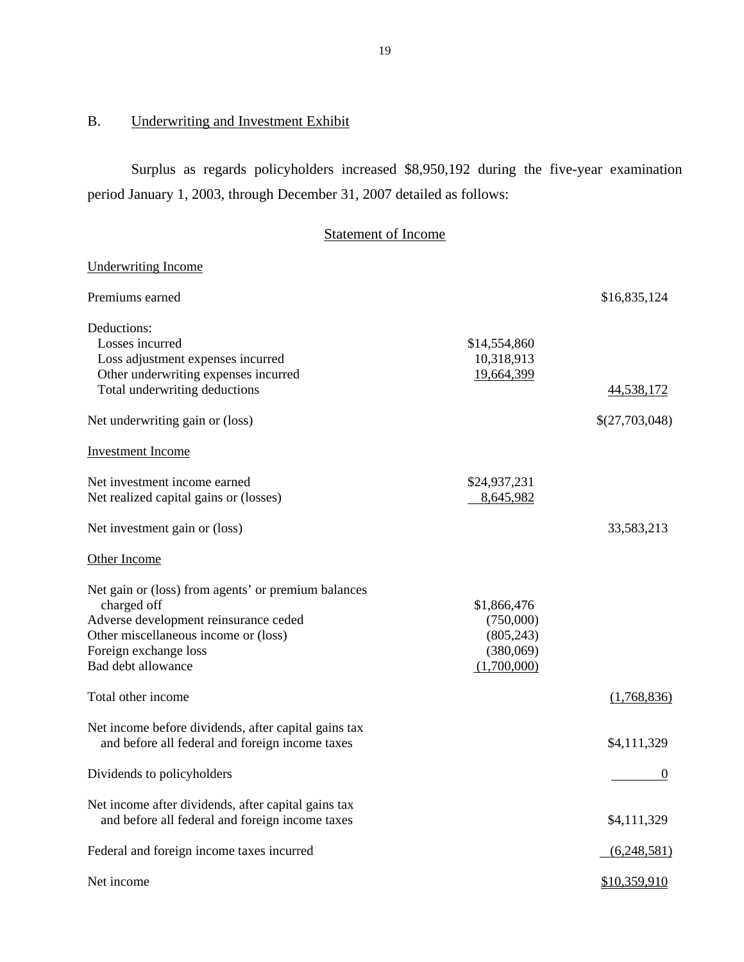## B. Underwriting and Investment Exhibit

Surplus as regards policyholders increased \$8,950,192 during the five-year examination period January 1, 2003, through December 31, 2007 detailed as follows:

### Statement of Income

## **Underwriting Income**  19,664,399 **Investment** Income 8,645,982 Other Income  $(1,700,000)$  $\sim$  0 Underwriting Income<br>Premiums earned \$16,835,124 Deductions: Losses incurred Loss adjustment expenses incurred Other underwriting expenses incurred Total underwriting deductions \$14,554,860 10,318,913 44,538,172 Net underwriting gain or (loss)  $\{(27,703,048)$ Net investment income earned Net realized capital gains or (losses) \$24,937,231 Net realized capital gains or (losses)<br>Net investment gain or (loss) 33,583,213 Net gain or (loss) from agents' or premium balances charged off Adverse development reinsurance ceded Other miscellaneous income or (loss) Foreign exchange loss Bad debt allowance \$1,866,476 (750,000) (805,243) (380,069) Bad debt allowance<br>
Total other income<br>
(1,700,000)<br>
(1,768,836) Net income before dividends, after capital gains tax and before all federal and foreign income taxes  $\frac{$4,111,329}{9}$ Dividends to policyholders Net income after dividends, after capital gains tax and before all federal and foreign income taxes  $\frac{$4,111,329}{4}$ Federal and foreign income taxes incurred (6,248,581) Net income \$10,359,910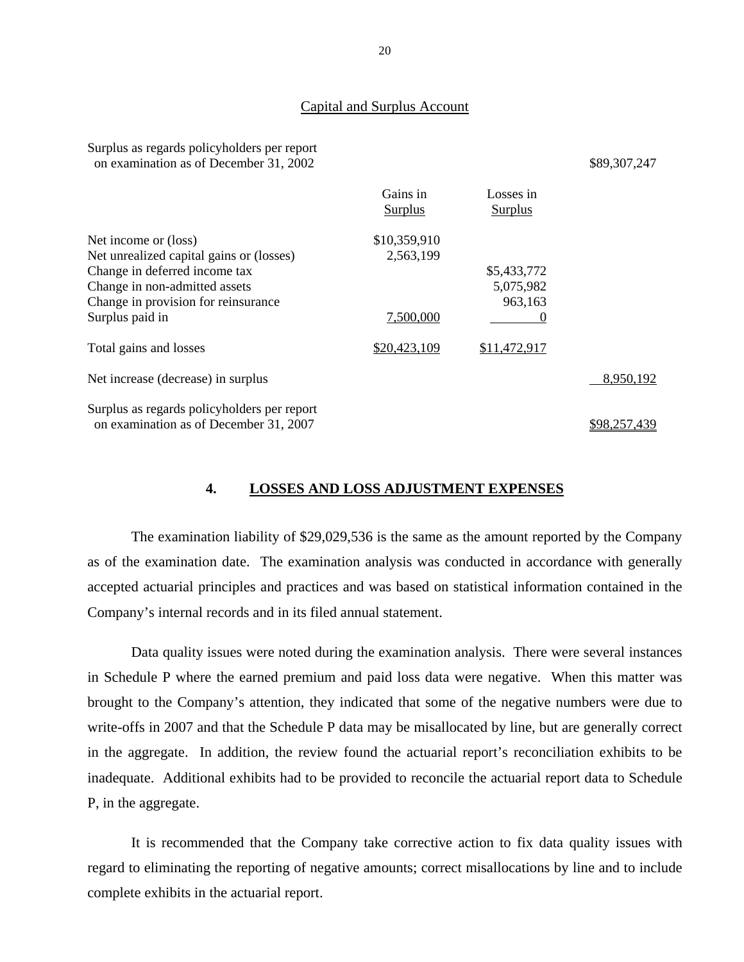#### Capital and Surplus Account

| Surplus as regards policyholders per report |              |
|---------------------------------------------|--------------|
| on examination as of December 31, 2002      | \$89,307,247 |

| \$89,307,247 |  |  |
|--------------|--|--|
|              |  |  |

|                                             | Gains in<br>Surplus | Losses in<br>Surplus |              |
|---------------------------------------------|---------------------|----------------------|--------------|
| Net income or (loss)                        | \$10,359,910        |                      |              |
| Net unrealized capital gains or (losses)    | 2,563,199           |                      |              |
| Change in deferred income tax               |                     | \$5,433,772          |              |
| Change in non-admitted assets               |                     | 5,075,982            |              |
| Change in provision for reinsurance         |                     | 963,163              |              |
| Surplus paid in                             | 7,500,000           |                      |              |
| Total gains and losses                      | \$20,423,109        | \$11,472,917         |              |
| Net increase (decrease) in surplus          |                     |                      | 8,950,192    |
| Surplus as regards policyholders per report |                     |                      |              |
| on examination as of December 31, 2007      |                     |                      | \$98,257,439 |

## **4. LOSSES AND LOSS ADJUSTMENT EXPENSES**

The examination liability of \$29,029,536 is the same as the amount reported by the Company as of the examination date. The examination analysis was conducted in accordance with generally accepted actuarial principles and practices and was based on statistical information contained in the Company's internal records and in its filed annual statement.

Data quality issues were noted during the examination analysis. There were several instances in Schedule P where the earned premium and paid loss data were negative. When this matter was brought to the Company's attention, they indicated that some of the negative numbers were due to write-offs in 2007 and that the Schedule P data may be misallocated by line, but are generally correct in the aggregate. In addition, the review found the actuarial report's reconciliation exhibits to be inadequate. Additional exhibits had to be provided to reconcile the actuarial report data to Schedule P, in the aggregate.

It is recommended that the Company take corrective action to fix data quality issues with regard to eliminating the reporting of negative amounts; correct misallocations by line and to include complete exhibits in the actuarial report.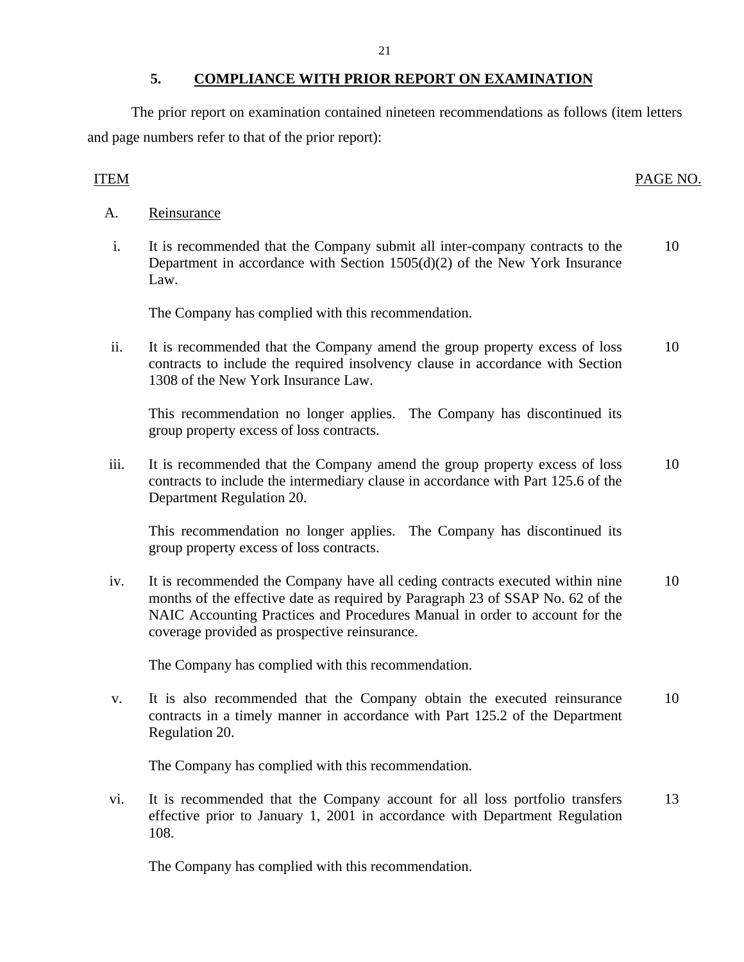## **5. COMPLIANCE WITH PRIOR REPORT ON EXAMINATION**

The prior report on examination contained nineteen recommendations as follows (item letters and page numbers refer to that of the prior report):

## ITEM PAGE NO.

- Reinsurance
- A. Reinsurance<br>i. It is recommended that the Company submit all inter-company contracts to the Department in accordance with Section 1505(d)(2) of the New York Insurance Law. 10

The Company has complied with this recommendation.

ii. It is recommended that the Company amend the group property excess of loss contracts to include the required insolvency clause in accordance with Section 1308 of the New York Insurance Law. 10

This recommendation no longer applies. The Company has discontinued its group property excess of loss contracts.

iii. It is recommended that the Company amend the group property excess of loss contracts to include the intermediary clause in accordance with Part 125.6 of the Department Regulation 20. 10

This recommendation no longer applies. The Company has discontinued its group property excess of loss contracts.

iv. It is recommended the Company have all ceding contracts executed within nine months of the effective date as required by Paragraph 23 of SSAP No. 62 of the NAIC Accounting Practices and Procedures Manual in order to account for the coverage provided as prospective reinsurance. 10

The Company has complied with this recommendation.

v. It is also recommended that the Company obtain the executed reinsurance contracts in a timely manner in accordance with Part 125.2 of the Department Regulation 20. 10

The Company has complied with this recommendation.

vi. It is recommended that the Company account for all loss portfolio transfers effective prior to January 1, 2001 in accordance with Department Regulation 108. 13

The Company has complied with this recommendation.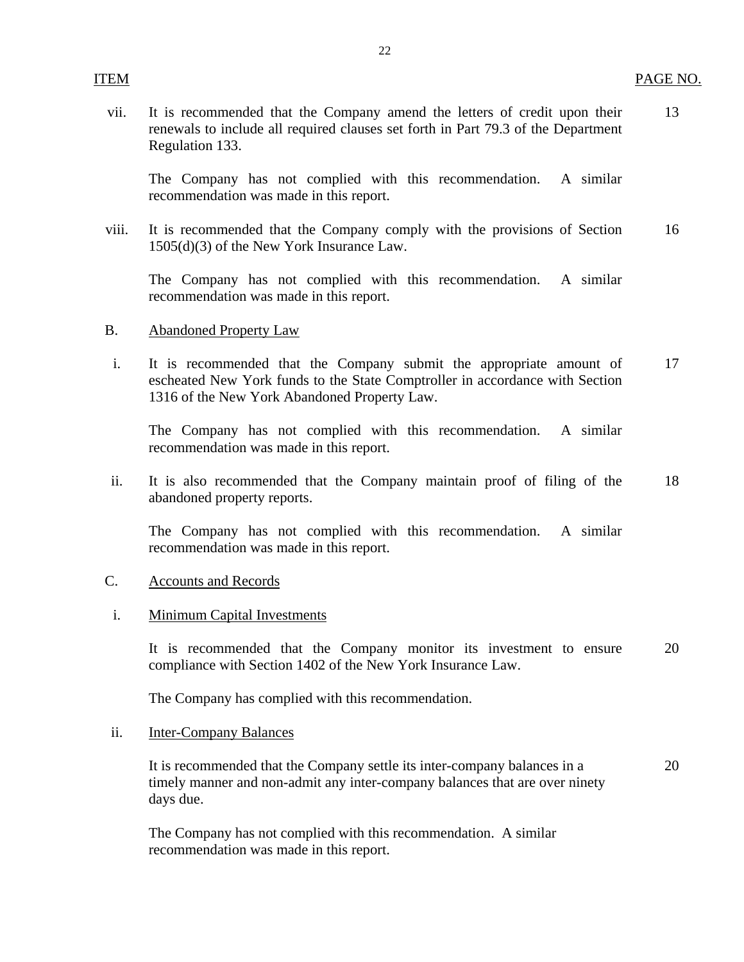vii. It is recommended that the Company amend the letters of credit upon their 13 renewals to include all required clauses set forth in Part 79.3 of the Department Regulation 133.

The Company has not complied with this recommendation. A similar recommendation was made in this report.

viii. It is recommended that the Company comply with the provisions of Section 16 1505(d)(3) of the New York Insurance Law.

The Company has not complied with this recommendation. A similar recommendation was made in this report.

- **Abandoned Property Law**
- B. Abandoned Property Law<br>i. It is recommended that the Company submit the appropriate amount of 17 escheated New York funds to the State Comptroller in accordance with Section 1316 of the New York Abandoned Property Law.

The Company has not complied with this recommendation. A similar recommendation was made in this report.

ii. It is also recommended that the Company maintain proof of filing of the 18 abandoned property reports.

The Company has not complied with this recommendation. A similar recommendation was made in this report.

#### **Accounts and Records**

#### Minimum Capital Investments

C. Accounts and Records<br>
i. Minimum Capital Investments<br>
It is recommended that the Company monitor its investment to ensure 20 compliance with Section 1402 of the New York Insurance Law.

The Company has complied with this recommendation.

#### **Inter-Company Balances**

ii. Inter-Company Balances<br>It is recommended that the Company settle its inter-company balances in a 20 timely manner and non-admit any inter-company balances that are over ninety days due.

The Company has not complied with this recommendation. A similar recommendation was made in this report.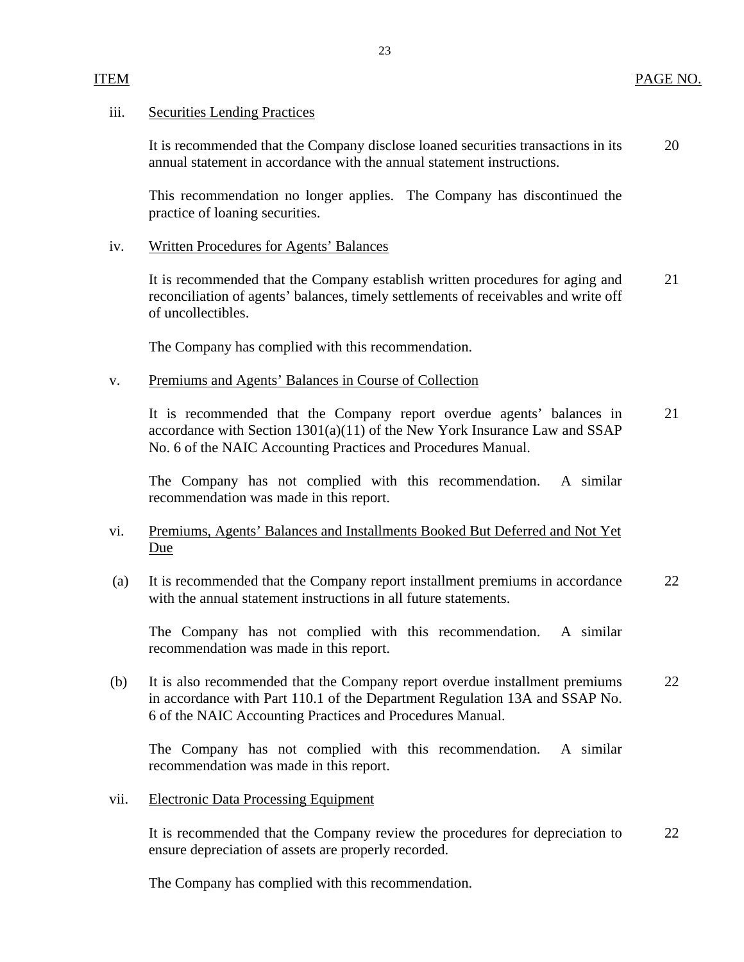## **Securities Lending Practices**

iii. Securities Lending Practices<br>It is recommended that the Company disclose loaned securities transactions in its 20 annual statement in accordance with the annual statement instructions.

This recommendation no longer applies. The Company has discontinued the practice of loaning securities.

23

## **Written Procedures for Agents' Balances**

iv. Written Procedures for Agents' Balances<br>It is recommended that the Company establish written procedures for aging and 21 reconciliation of agents' balances, timely settlements of receivables and write off of uncollectibles.

The Company has complied with this recommendation.

## Premiums and Agents' Balances in Course of Collection

v. Premiums and Agents' Balances in Course of Collection<br>It is recommended that the Company report overdue agents' balances in 21 accordance with Section 1301(a)(11) of the New York Insurance Law and SSAP No. 6 of the NAIC Accounting Practices and Procedures Manual.

The Company has not complied with this recommendation. A similar recommendation was made in this report.

## vi. Premiums, Agents' Balances and Installments Booked But Deferred and Not Yet Due

(a) It is recommended that the Company report installment premiums in accordance 22 with the annual statement instructions in all future statements.

The Company has not complied with this recommendation. A similar recommendation was made in this report.

(b) It is also recommended that the Company report overdue installment premiums 22 in accordance with Part 110.1 of the Department Regulation 13A and SSAP No. 6 of the NAIC Accounting Practices and Procedures Manual.

The Company has not complied with this recommendation. A similar recommendation was made in this report.

**Electronic Data Processing Equipment** 

vii. Electronic Data Processing Equipment<br>It is recommended that the Company review the procedures for depreciation to 22 ensure depreciation of assets are properly recorded.

The Company has complied with this recommendation.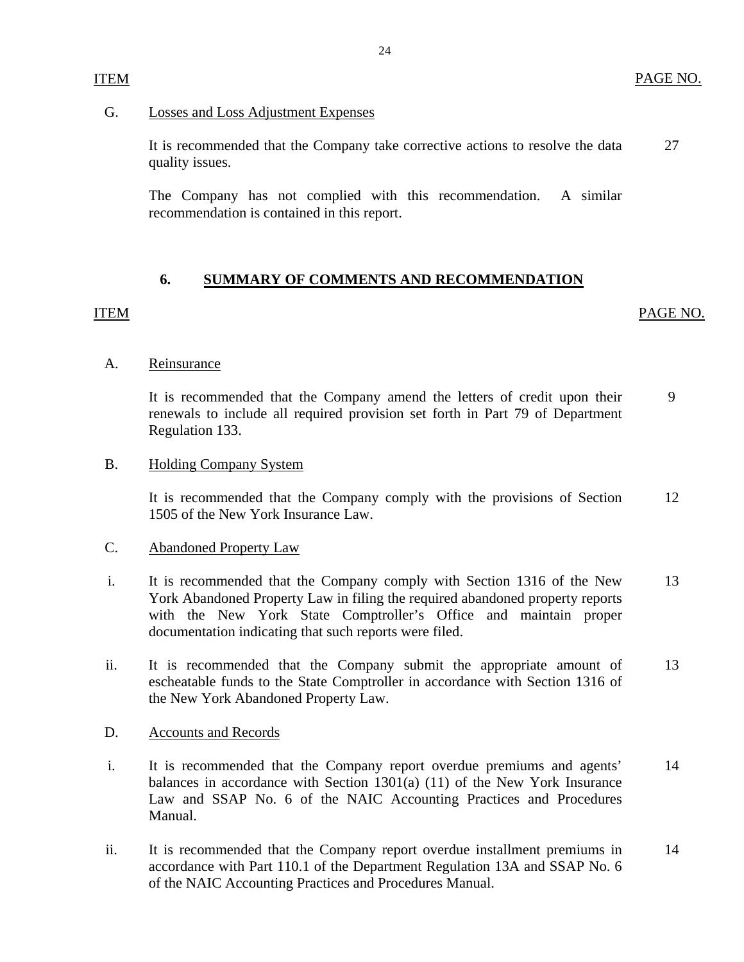## **Losses and Loss Adjustment Expenses**

G. Losses and Loss Adjustment Expenses<br>It is recommended that the Company take corrective actions to resolve the data quality issues. 27

The Company has not complied with this recommendation. A similar recommendation is contained in this report.

## **6. SUMMARY OF COMMENTS AND RECOMMENDATION**

## ITEM

<span id="page-25-0"></span>ITEM

PAGE NO.

## Reinsurance

A. Reinsurance<br>It is recommended that the Company amend the letters of credit upon their renewals to include all required provision set forth in Part 79 of Department Regulation 133. 9

## **Holding Company System**

B. Holding Company System<br>It is recommended that the Company comply with the provisions of Section 1505 of the New York Insurance Law. 12

## **Abandoned Property Law**

- C. Abandoned Property Law<br>i. It is recommended that the Company comply with Section 1316 of the New York Abandoned Property Law in filing the required abandoned property reports with the New York State Comptroller's Office and maintain proper documentation indicating that such reports were filed. 13
- ii. It is recommended that the Company submit the appropriate amount of escheatable funds to the State Comptroller in accordance with Section 1316 of the New York Abandoned Property Law. 13

## **Accounts and Records**

- D. Accounts and Records<br>i. It is recommended that the Company report overdue premiums and agents' balances in accordance with Section 1301(a) (11) of the New York Insurance Law and SSAP No. 6 of the NAIC Accounting Practices and Procedures Manual. 14
- ii. It is recommended that the Company report overdue installment premiums in accordance with Part 110.1 of the Department Regulation 13A and SSAP No. 6 of the NAIC Accounting Practices and Procedures Manual. 14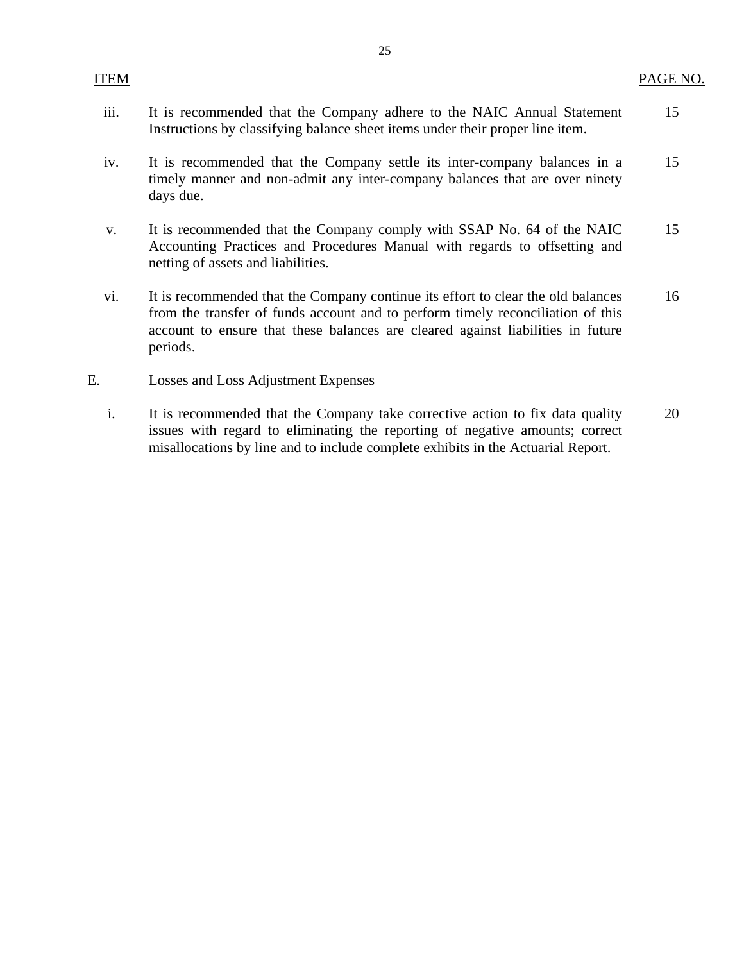| ITEM |                                                                                                                                                                                                                                                                    | PAGE NO. |
|------|--------------------------------------------------------------------------------------------------------------------------------------------------------------------------------------------------------------------------------------------------------------------|----------|
| iii. | It is recommended that the Company adhere to the NAIC Annual Statement<br>Instructions by classifying balance sheet items under their proper line item.                                                                                                            | 15       |
| iv.  | It is recommended that the Company settle its inter-company balances in a<br>timely manner and non-admit any inter-company balances that are over ninety<br>days due.                                                                                              | 15       |
| V.   | It is recommended that the Company comply with SSAP No. 64 of the NAIC<br>Accounting Practices and Procedures Manual with regards to offsetting and<br>netting of assets and liabilities.                                                                          | 15       |
| vi.  | It is recommended that the Company continue its effort to clear the old balances<br>from the transfer of funds account and to perform timely reconciliation of this<br>account to ensure that these balances are cleared against liabilities in future<br>periods. | 16       |
| E.   | Losses and Loss Adjustment Expenses                                                                                                                                                                                                                                |          |
| i.   | It is recommended that the Company take corrective action to fix data quality                                                                                                                                                                                      | 20       |

issues with regard to eliminating the reporting of negative amounts; correct misallocations by line and to include complete exhibits in the Actuarial Report.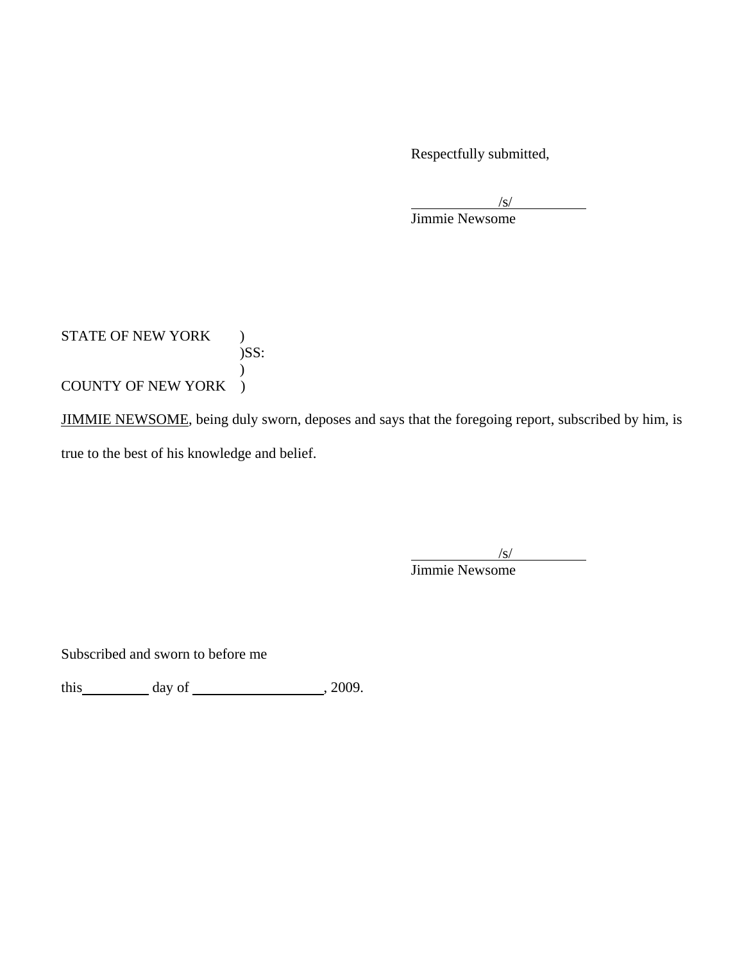Respectfully submitted,

 $\frac{1}{\sqrt{S}}$ 

Jimmie Newsome

STATE OF NEW YORK )  $)$ SS:  $\mathcal{L}$ COUNTY OF NEW YORK )

JIMMIE NEWSOME, being duly sworn, deposes and says that the foregoing report, subscribed by him, is true to the best of his knowledge and belief.

 $\overline{\phantom{a}}$  $\sqrt{s}$ 

Jimmie Newsome

Subscribed and sworn to before me

this day of  $\frac{1}{2009}$ .